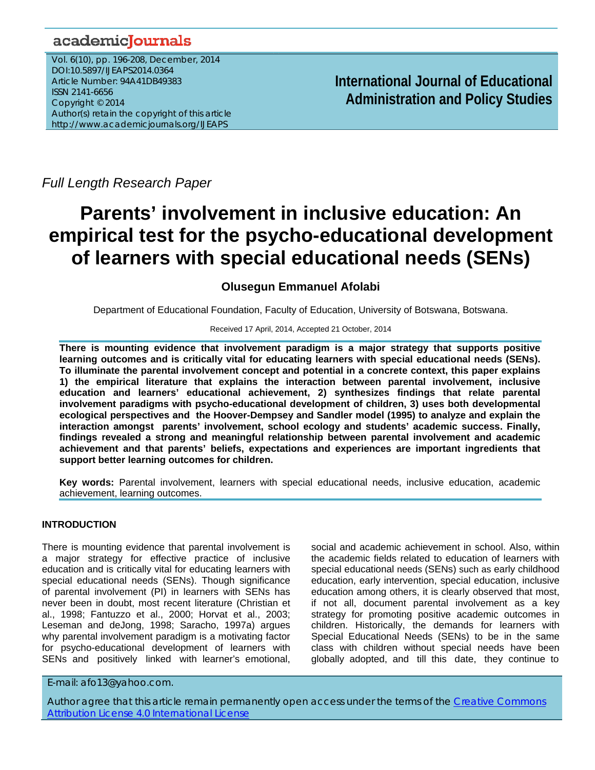# academicJournals

Vol. 6(10), pp. 196-208, December, 2014 DOI:10.5897/IJEAPS2014.0364 Article Number: 94A41DB49383 ISSN 2141-6656 Copyright © 2014 Author(s) retain the copyright of this article http://www.academicjournals.org/IJEAPS

**International Journal of Educational Administration and Policy Studies**

*Full Length Research Paper*

# **Parents' involvement in inclusive education: An empirical test for the psycho-educational development of learners with special educational needs (SENs)**

# **Olusegun Emmanuel Afolabi**

Department of Educational Foundation, Faculty of Education, University of Botswana, Botswana.

#### Received 17 April, 2014, Accepted 21 October, 2014

**There is mounting evidence that involvement paradigm is a major strategy that supports positive learning outcomes and is critically vital for educating learners with special educational needs (SENs). To illuminate the parental involvement concept and potential in a concrete context, this paper explains 1) the empirical literature that explains the interaction between parental involvement, inclusive education and learners' educational achievement, 2) synthesizes findings that relate parental involvement paradigms with psycho-educational development of children, 3) uses both developmental ecological perspectives and the Hoover-Dempsey and Sandler model (1995) to analyze and explain the interaction amongst parents' involvement, school ecology and students' academic success. Finally, findings revealed a strong and meaningful relationship between parental involvement and academic achievement and that parents' beliefs, expectations and experiences are important ingredients that support better learning outcomes for children.** 

**Key words:** Parental involvement, learners with special educational needs, inclusive education, academic achievement, learning outcomes.

# **INTRODUCTION**

There is mounting evidence that parental involvement is a major strategy for effective practice of inclusive education and is critically vital for educating learners with special educational needs (SENs). Though significance of parental involvement (PI) in learners with SENs has never been in doubt, most recent literature (Christian et al., 1998; Fantuzzo et al., 2000; Horvat et al., 2003; Leseman and deJong, 1998; Saracho, 1997a) argues why parental involvement paradigm is a motivating factor for psycho-educational development of learners with SENs and positively linked with learner's emotional, social and academic achievement in school. Also, within the academic fields related to education of learners with special educational needs (SENs) such as early childhood education, early intervention, special education, inclusive education among others, it is clearly observed that most, if not all, document parental involvement as a key strategy for promoting positive academic outcomes in children. Historically, the demands for learners with Special Educational Needs (SENs) to be in the same class with children without special needs have been globally adopted, and till this date, they continue to

E-mail: afo13@yahoo.com.

Author agree that this article remain permanently open access under the terms of the Creative Commons Attribution License 4.0 International License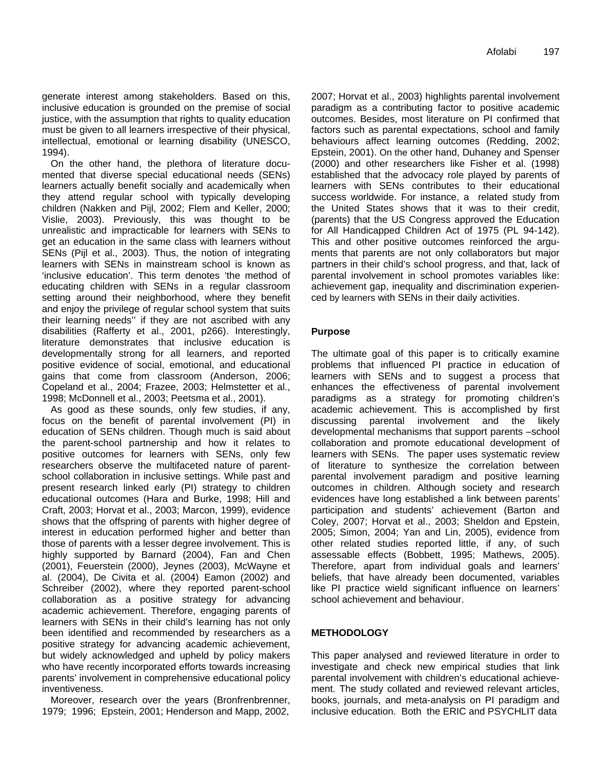generate interest among stakeholders. Based on this, inclusive education is grounded on the premise of social justice, with the assumption that rights to quality education must be given to all learners irrespective of their physical, intellectual, emotional or learning disability (UNESCO, 1994).

On the other hand, the plethora of literature documented that diverse special educational needs (SENs) learners actually benefit socially and academically when they attend regular school with typically developing children (Nakken and Pijl, 2002; Flem and Keller, 2000; Vislie, 2003). Previously, this was thought to be unrealistic and impracticable for learners with SENs to get an education in the same class with learners without SENs (Pijl et al., 2003). Thus, the notion of integrating learners with SENs in mainstream school is known as 'inclusive education'. This term denotes 'the method of educating children with SENs in a regular classroom setting around their neighborhood, where they benefit and enjoy the privilege of regular school system that suits their learning needs'' if they are not ascribed with any disabilities (Rafferty et al., 2001, p266). Interestingly, literature demonstrates that inclusive education is developmentally strong for all learners, and reported positive evidence of social, emotional, and educational gains that come from classroom (Anderson, 2006; Copeland et al., 2004; Frazee, 2003; Helmstetter et al., 1998; McDonnell et al., 2003; Peetsma et al., 2001).

As good as these sounds, only few studies, if any, focus on the benefit of parental involvement (PI) in education of SENs children. Though much is said about the parent-school partnership and how it relates to positive outcomes for learners with SENs, only few researchers observe the multifaceted nature of parentschool collaboration in inclusive settings. While past and present research linked early (PI) strategy to children educational outcomes (Hara and Burke, 1998; Hill and Craft, 2003; Horvat et al., 2003; Marcon, 1999), evidence shows that the offspring of parents with higher degree of interest in education performed higher and better than those of parents with a lesser degree involvement. This is highly supported by Barnard (2004), Fan and Chen (2001), Feuerstein (2000), Jeynes (2003), McWayne et al. (2004), De Civita et al. (2004) Eamon (2002) and Schreiber (2002), where they reported parent-school collaboration as a positive strategy for advancing academic achievement. Therefore, engaging parents of learners with SENs in their child's learning has not only been identified and recommended by researchers as a positive strategy for advancing academic achievement, but widely acknowledged and upheld by policy makers who have recently incorporated efforts towards increasing parents' involvement in comprehensive educational policy inventiveness.

Moreover, research over the years (Bronfrenbrenner, 1979; 1996; Epstein, 2001; Henderson and Mapp, 2002,

2007; Horvat et al., 2003) highlights parental involvement paradigm as a contributing factor to positive academic outcomes. Besides, most literature on PI confirmed that factors such as parental expectations, school and family behaviours affect learning outcomes (Redding, 2002; Epstein, 2001). On the other hand, Duhaney and Spenser (2000) and other researchers like Fisher et al. (1998) established that the advocacy role played by parents of learners with SENs contributes to their educational success worldwide. For instance, a related study from the United States shows that it was to their credit, (parents) that the US Congress approved the Education for All Handicapped Children Act of 1975 (PL 94-142). This and other positive outcomes reinforced the arguments that parents are not only collaborators but major partners in their child's school progress, and that, lack of parental involvement in school promotes variables like: achievement gap, inequality and discrimination experienced by learners with SENs in their daily activities.

# **Purpose**

The ultimate goal of this paper is to critically examine problems that influenced PI practice in education of learners with SENs and to suggest a process that enhances the effectiveness of parental involvement paradigms as a strategy for promoting children's academic achievement. This is accomplished by first discussing parental involvement and the likely developmental mechanisms that support parents –school collaboration and promote educational development of learners with SENs. The paper uses systematic review of literature to synthesize the correlation between parental involvement paradigm and positive learning outcomes in children. Although society and research evidences have long established a link between parents' participation and students' achievement (Barton and Coley, 2007; Horvat et al., 2003; Sheldon and Epstein, 2005; Simon, 2004; Yan and Lin, 2005), evidence from other related studies reported little, if any, of such assessable effects (Bobbett, 1995; Mathews, 2005). Therefore, apart from individual goals and learners' beliefs, that have already been documented, variables like PI practice wield significant influence on learners' school achievement and behaviour.

#### **METHODOLOGY**

This paper analysed and reviewed literature in order to investigate and check new empirical studies that link parental involvement with children's educational achievement. The study collated and reviewed relevant articles, books, journals, and meta-analysis on PI paradigm and inclusive education. Both the ERIC and PSYCHLIT data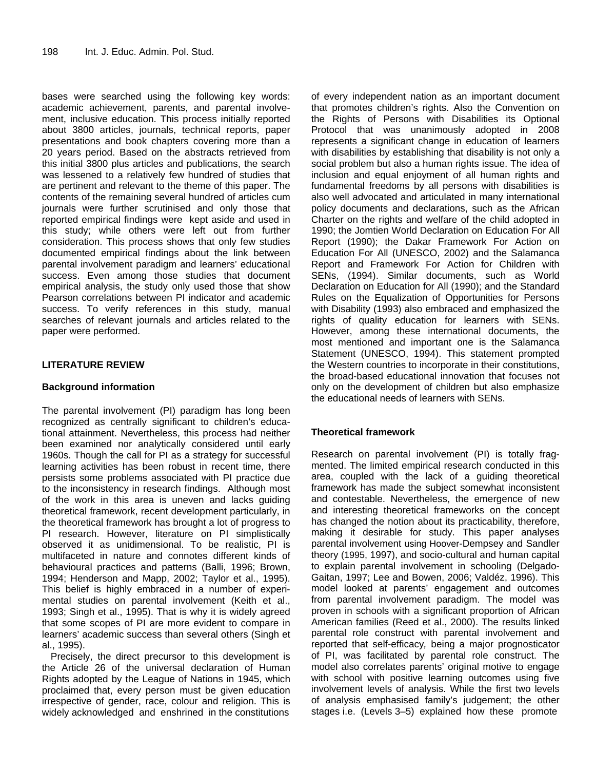bases were searched using the following key words: academic achievement, parents, and parental involvement, inclusive education. This process initially reported about 3800 articles, journals, technical reports, paper presentations and book chapters covering more than a 20 years period. Based on the abstracts retrieved from this initial 3800 plus articles and publications, the search was lessened to a relatively few hundred of studies that are pertinent and relevant to the theme of this paper. The contents of the remaining several hundred of articles cum journals were further scrutinised and only those that reported empirical findings were kept aside and used in this study; while others were left out from further consideration. This process shows that only few studies documented empirical findings about the link between parental involvement paradigm and learners' educational success. Even among those studies that document empirical analysis, the study only used those that show Pearson correlations between PI indicator and academic success. To verify references in this study, manual searches of relevant journals and articles related to the paper were performed.

#### **LITERATURE REVIEW**

#### **Background information**

The parental involvement (PI) paradigm has long been recognized as centrally significant to children's educational attainment. Nevertheless, this process had neither been examined nor analytically considered until early 1960s. Though the call for PI as a strategy for successful learning activities has been robust in recent time, there persists some problems associated with PI practice due to the inconsistency in research findings. Although most of the work in this area is uneven and lacks guiding theoretical framework, recent development particularly, in the theoretical framework has brought a lot of progress to PI research. However, literature on PI simplistically observed it as unidimensional. To be realistic, PI is multifaceted in nature and connotes different kinds of behavioural practices and patterns (Balli, 1996; Brown, 1994; Henderson and Mapp, 2002; Taylor et al., 1995). This belief is highly embraced in a number of experimental studies on parental involvement (Keith et al., 1993; Singh et al., 1995). That is why it is widely agreed that some scopes of PI are more evident to compare in learners' academic success than several others (Singh et al., 1995).

Precisely, the direct precursor to this development is the Article 26 of the universal declaration of Human Rights adopted by the League of Nations in 1945, which proclaimed that, every person must be given education irrespective of gender, race, colour and religion. This is widely acknowledged and enshrined in the constitutions of every independent nation as an important document that promotes children's rights. Also the Convention on the Rights of Persons with Disabilities its Optional Protocol that was unanimously adopted in 2008 represents a significant change in education of learners with disabilities by establishing that disability is not only a social problem but also a human rights issue. The idea of inclusion and equal enjoyment of all human rights and fundamental freedoms by all persons with disabilities is also well advocated and articulated in many international policy documents and declarations, such as the African Charter on the rights and welfare of the child adopted in 1990; the Jomtien World Declaration on Education For All Report (1990); the Dakar Framework For Action on Education For All (UNESCO, 2002) and the Salamanca Report and Framework For Action for Children with SENs, (1994). Similar documents, such as World Declaration on Education for All (1990); and the Standard Rules on the Equalization of Opportunities for Persons with Disability (1993) also embraced and emphasized the rights of quality education for learners with SENs. However, among these international documents, the most mentioned and important one is the Salamanca Statement (UNESCO, 1994). This statement prompted the Western countries to incorporate in their constitutions, the broad-based educational innovation that focuses not only on the development of children but also emphasize the educational needs of learners with SENs.

#### **Theoretical framework**

Research on parental involvement (PI) is totally fragmented. The limited empirical research conducted in this area, coupled with the lack of a guiding theoretical framework has made the subject somewhat inconsistent and contestable. Nevertheless, the emergence of new and interesting theoretical frameworks on the concept has changed the notion about its practicability, therefore, making it desirable for study. This paper analyses parental involvement using Hoover-Dempsey and Sandler theory (1995, 1997), and socio-cultural and human capital to explain parental involvement in schooling (Delgado-Gaitan, 1997; Lee and Bowen, 2006; Valdéz, 1996). This model looked at parents' engagement and outcomes from parental involvement paradigm. The model was proven in schools with a significant proportion of African American families (Reed et al., 2000). The results linked parental role construct with parental involvement and reported that self-efficacy*,* being a major prognosticator of PI, was facilitated by parental role construct. The model also correlates parents' original motive to engage with school with positive learning outcomes using five involvement levels of analysis. While the first two levels of analysis emphasised family's judgement; the other stages i.e. (Levels 3–5) explained how these promote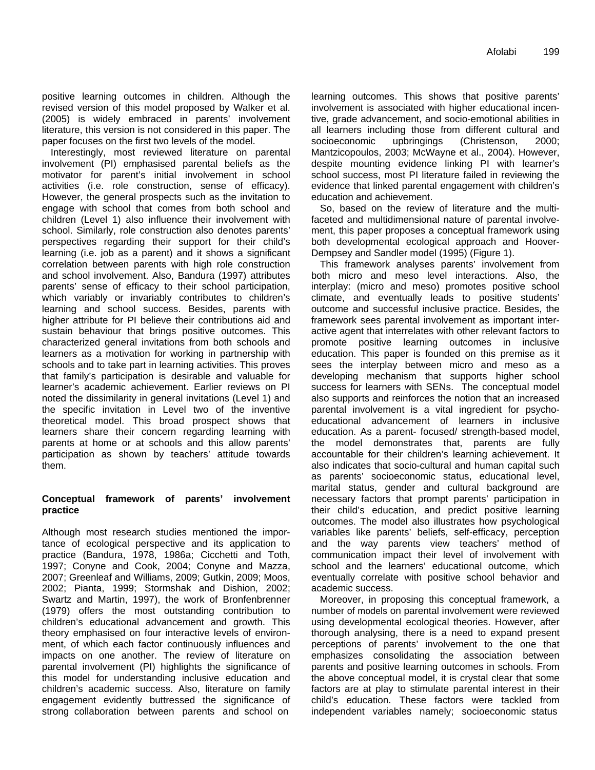positive learning outcomes in children. Although the revised version of this model proposed by Walker et al. (2005) is widely embraced in parents' involvement literature, this version is not considered in this paper. The paper focuses on the first two levels of the model.

Interestingly, most reviewed literature on parental involvement (PI) emphasised parental beliefs as the motivator for parent's initial involvement in school activities (i.e. role construction, sense of efficacy). However, the general prospects such as the invitation to engage with school that comes from both school and children (Level 1) also influence their involvement with school. Similarly, role construction also denotes parents' perspectives regarding their support for their child's learning (i.e. job as a parent) and it shows a significant correlation between parents with high role construction and school involvement. Also, Bandura (1997) attributes parents' sense of efficacy to their school participation, which variably or invariably contributes to children's learning and school success. Besides, parents with higher attribute for PI believe their contributions aid and sustain behaviour that brings positive outcomes. This characterized general invitations from both schools and learners as a motivation for working in partnership with schools and to take part in learning activities. This proves that family's participation is desirable and valuable for learner's academic achievement. Earlier reviews on PI noted the dissimilarity in general invitations (Level 1) and the specific invitation in Level two of the inventive theoretical model. This broad prospect shows that learners share their concern regarding learning with parents at home or at schools and this allow parents' participation as shown by teachers' attitude towards them.

#### **Conceptual framework of parents' involvement practice**

Although most research studies mentioned the importance of ecological perspective and its application to practice (Bandura, 1978, 1986a; Cicchetti and Toth, 1997; Conyne and Cook, 2004; Conyne and Mazza, 2007; Greenleaf and Williams, 2009; Gutkin, 2009; Moos, 2002; Pianta, 1999; Stormshak and Dishion, 2002; Swartz and Martin, 1997), the work of Bronfenbrenner (1979) offers the most outstanding contribution to children's educational advancement and growth. This theory emphasised on four interactive levels of environment, of which each factor continuously influences and impacts on one another. The review of literature on parental involvement (PI) highlights the significance of this model for understanding inclusive education and children's academic success. Also, literature on family engagement evidently buttressed the significance of strong collaboration between parents and school on

learning outcomes. This shows that positive parents' involvement is associated with higher educational incentive, grade advancement, and socio-emotional abilities in all learners including those from different cultural and socioeconomic upbringings (Christenson, 2000; Mantzicopoulos, 2003; McWayne et al., 2004). However, despite mounting evidence linking PI with learner's school success, most PI literature failed in reviewing the evidence that linked parental engagement with children's education and achievement.

So, based on the review of literature and the multifaceted and multidimensional nature of parental involvement, this paper proposes a conceptual framework using both developmental ecological approach and Hoover-Dempsey and Sandler model (1995) (Figure 1).

 This framework analyses parents' involvement from both micro and meso level interactions. Also, the interplay: (micro and meso) promotes positive school climate, and eventually leads to positive students' outcome and successful inclusive practice. Besides, the framework sees parental involvement as important interactive agent that interrelates with other relevant factors to promote positive learning outcomes in inclusive education. This paper is founded on this premise as it sees the interplay between micro and meso as a developing mechanism that supports higher school success for learners with SENs. The conceptual model also supports and reinforces the notion that an increased parental involvement is a vital ingredient for psychoeducational advancement of learners in inclusive education. As a parent- focused/ strength-based model, the model demonstrates that, parents are fully accountable for their children's learning achievement. It also indicates that socio-cultural and human capital such as parents' socioeconomic status, educational level, marital status, gender and cultural background are necessary factors that prompt parents' participation in their child's education, and predict positive learning outcomes. The model also illustrates how psychological variables like parents' beliefs, self-efficacy, perception and the way parents view teachers' method of communication impact their level of involvement with school and the learners' educational outcome, which eventually correlate with positive school behavior and academic success.

Moreover, in proposing this conceptual framework, a number of models on parental involvement were reviewed using developmental ecological theories. However, after thorough analysing, there is a need to expand present perceptions of parents' involvement to the one that emphasizes consolidating the association between parents and positive learning outcomes in schools. From the above conceptual model, it is crystal clear that some factors are at play to stimulate parental interest in their child's education. These factors were tackled from independent variables namely; socioeconomic status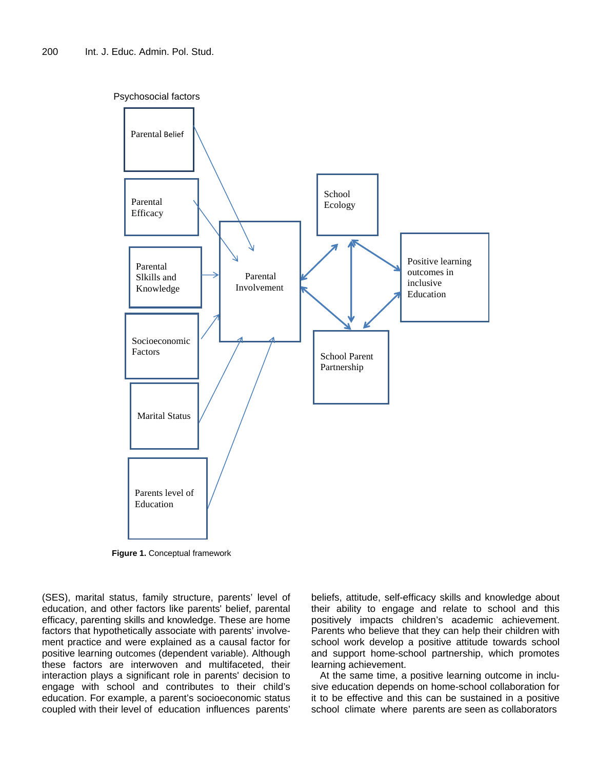

**Figure 1.** Conceptual framework

(SES), marital status, family structure, parents' level of education, and other factors like parents' belief, parental efficacy, parenting skills and knowledge. These are home factors that hypothetically associate with parents' involvement practice and were explained as a causal factor for positive learning outcomes (dependent variable). Although these factors are interwoven and multifaceted, their interaction plays a significant role in parents' decision to engage with school and contributes to their child's education. For example, a parent's socioeconomic status coupled with their level of education influences parents' beliefs, attitude, self-efficacy skills and knowledge about their ability to engage and relate to school and this positively impacts children's academic achievement. Parents who believe that they can help their children with school work develop a positive attitude towards school and support home-school partnership, which promotes learning achievement.

At the same time, a positive learning outcome in inclusive education depends on home-school collaboration for it to be effective and this can be sustained in a positive school climate where parents are seen as collaborators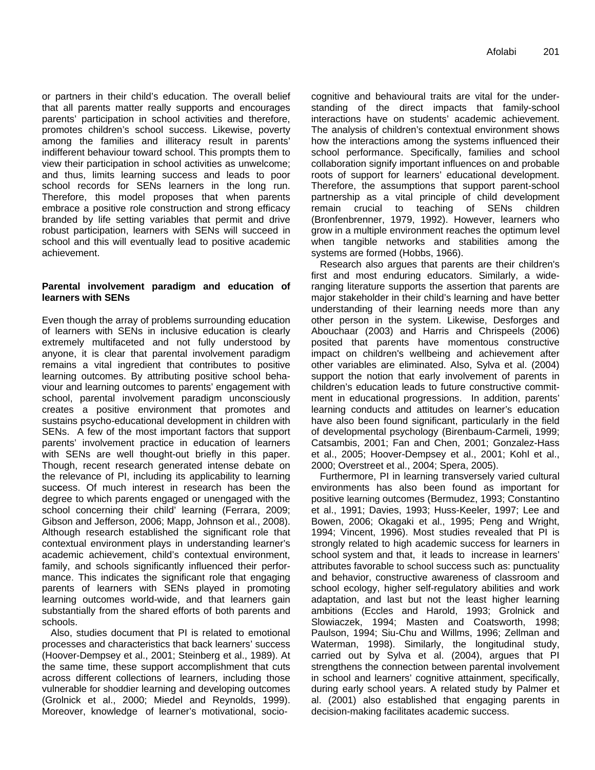or partners in their child's education. The overall belief that all parents matter really supports and encourages parents' participation in school activities and therefore, promotes children's school success. Likewise, poverty among the families and illiteracy result in parents' indifferent behaviour toward school. This prompts them to view their participation in school activities as unwelcome; and thus, limits learning success and leads to poor school records for SENs learners in the long run. Therefore, this model proposes that when parents embrace a positive role construction and strong efficacy branded by life setting variables that permit and drive robust participation, learners with SENs will succeed in school and this will eventually lead to positive academic achievement.

#### **Parental involvement paradigm and education of learners with SENs**

Even though the array of problems surrounding education of learners with SENs in inclusive education is clearly extremely multifaceted and not fully understood by anyone, it is clear that parental involvement paradigm remains a vital ingredient that contributes to positive learning outcomes. By attributing positive school behaviour and learning outcomes to parents' engagement with school, parental involvement paradigm unconsciously creates a positive environment that promotes and sustains psycho-educational development in children with SENs. A few of the most important factors that support parents' involvement practice in education of learners with SENs are well thought-out briefly in this paper. Though, recent research generated intense debate on the relevance of PI, including its applicability to learning suc**c**ess. Of much interest in research has been the degree to which parents engaged or unengaged with the school concerning their child' learning (Ferrara, 2009; Gibson and Jefferson, 2006; Mapp, Johnson et al., 2008). Although research established the significant role that contextual environment plays in understanding learner's academic achievement, child's contextual environment, family, and schools significantly influenced their performance. This indicates the significant role that engaging parents of learners with SENs played in promoting learning outcomes world-wide, and that learners gain substantially from the shared efforts of both parents and schools.

Also, studies document that PI is related to emotional processes and characteristics that back learners' success (Hoover-Dempsey et al., 2001; Steinberg et al., 1989). At the same time, these support accomplishment that cuts across different collections of learners, including those vulnerable for shoddier learning and developing outcomes (Grolnick et al., 2000; Miedel and Reynolds, 1999). Moreover, knowledge of learner's motivational, sociocognitive and behavioural traits are vital for the understanding of the direct impacts that family-school interactions have on students' academic achievement. The analysis of children's contextual environment shows how the interactions among the systems influenced their school performance. Specifically, families and school collaboration signify important influences on and probable roots of support for learners' educational development. Therefore, the assumptions that support parent-school partnership as a vital principle of child development remain crucial to teaching of SENs children (Bronfenbrenner, 1979, 1992). However, learners who grow in a multiple environment reaches the optimum level when tangible networks and stabilities among the systems are formed (Hobbs, 1966).

Research also argues that parents are their children's first and most enduring educators. Similarly, a wideranging literature supports the assertion that parents are major stakeholder in their child's learning and have better understanding of their learning needs more than any other person in the system. Likewise, Desforges and Abouchaar (2003) and Harris and Chrispeels (2006) posited that parents have momentous constructive impact on children's wellbeing and achievement after other variables are eliminated. Also, Sylva et al. (2004) support the notion that early involvement of parents in children's education leads to future constructive commitment in educational progressions. In addition, parents' learning conducts and attitudes on learner's education have also been found significant, particularly in the field of developmental psychology (Birenbaum-Carmeli, 1999; Catsambis, 2001; Fan and Chen, 2001; Gonzalez-Hass et al., 2005; Hoover-Dempsey et al., 2001; Kohl et al., 2000; Overstreet et al., 2004; Spera, 2005).

Furthermore, PI in learning transversely varied cultural environments has also been found as important for positive learning outcomes (Bermudez, 1993; Constantino et al., 1991; Davies, 1993; Huss-Keeler, 1997; Lee and Bowen, 2006; Okagaki et al., 1995; Peng and Wright, 1994; Vincent, 1996). Most studies revealed that PI is strongly related to high academic success for learners in school system and that, it leads to increase in learners' attributes favorable to school success such as: punctuality and behavior, constructive awareness of classroom and school ecology, higher self-regulatory abilities and work adaptation, and last but not the least higher learning ambitions (Eccles and Harold, 1993; Grolnick and Slowiaczek, 1994; Masten and Coatsworth, 1998; Paulson, 1994; Siu-Chu and Willms, 1996; Zellman and Waterman, 1998). Similarly, the longitudinal study, carried out by Sylva et al. (2004), argues that PI strengthens the connection between parental involvement in school and learners' cognitive attainment, specifically, during early school years. A related study by Palmer et al. (2001) also established that engaging parents in decision-making facilitates academic success.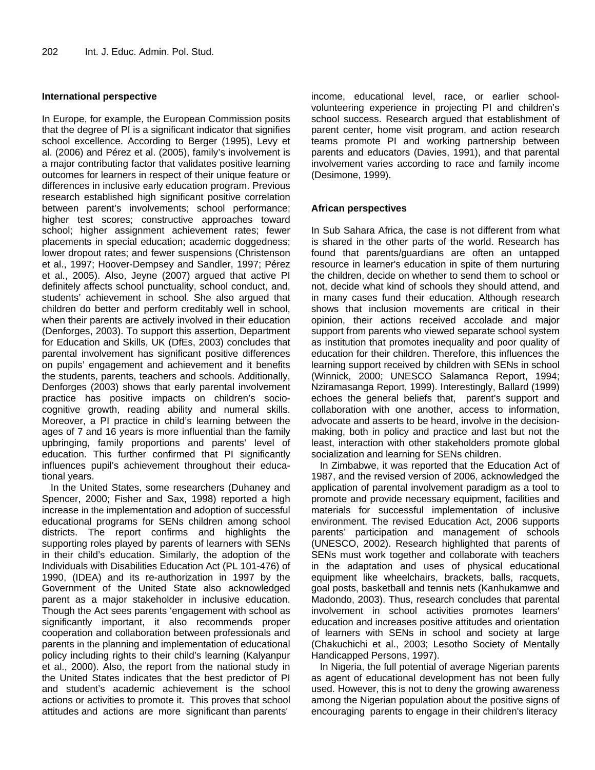#### **International perspective**

In Europe, for example, the European Commission posits that the degree of PI is a significant indicator that signifies school excellence. According to Berger (1995), Levy et al. (2006) and Pérez et al. (2005), family's involvement is a major contributing factor that validates positive learning outcomes for learners in respect of their unique feature or differences in inclusive early education program. Previous research established high significant positive correlation between parent's involvements; school performance; higher test scores; constructive approaches toward school; higher assignment achievement rates; fewer placements in special education; academic doggedness; lower dropout rates; and fewer suspensions (Christenson et al., 1997; Hoover-Dempsey and Sandler, 1997; Pérez et al., 2005). Also, Jeyne (2007) argued that active PI definitely affects school punctuality, school conduct, and, students' achievement in school. She also argued that children do better and perform creditably well in school, when their parents are actively involved in their education (Denforges, 2003). To support this assertion, Department for Education and Skills, UK (DfEs, 2003) concludes that parental involvement has significant positive differences on pupils' engagement and achievement and it benefits the students, parents, teachers and schools. Additionally, Denforges (2003) shows that early parental involvement practice has positive impacts on children's sociocognitive growth, reading ability and numeral skills. Moreover, a PI practice in child's learning between the ages of 7 and 16 years is more influential than the family upbringing, family proportions and parents' level of education. This further confirmed that PI significantly influences pupil's achievement throughout their educational years.

In the United States, some researchers (Duhaney and Spencer, 2000; Fisher and Sax, 1998) reported a high increase in the implementation and adoption of successful educational programs for SENs children among school districts. The report confirms and highlights the supporting roles played by parents of learners with SENs in their child's education. Similarly, the adoption of the Individuals with Disabilities Education Act (PL 101-476) of 1990, (IDEA) and its re-authorization in 1997 by the Government of the United State also acknowledged parent as a major stakeholder in inclusive education. Though the Act sees parents 'engagement with school as significantly important, it also recommends proper cooperation and collaboration between professionals and parents in the planning and implementation of educational policy including rights to their child's learning (Kalyanpur et al., 2000). Also, the report from the national study in the United States indicates that the best predictor of PI and student's academic achievement is the school actions or activities to promote it. This proves that school attitudes and actions are more significant than parents'

income, educational level, race, or earlier schoolvolunteering experience in projecting PI and children's school success. Research argued that establishment of parent center, home visit program, and action research teams promote PI and working partnership between parents and educators (Davies, 1991), and that parental involvement varies according to race and family income (Desimone, 1999).

#### **African perspectives**

In Sub Sahara Africa, the case is not different from what is shared in the other parts of the world. Research has found that parents/guardians are often an untapped resource in learner's education in spite of them nurturing the children, decide on whether to send them to school or not, decide what kind of schools they should attend, and in many cases fund their education. Although research shows that inclusion movements are critical in their opinion, their actions received accolade and major support from parents who viewed separate school system as institution that promotes inequality and poor quality of education for their children. Therefore, this influences the learning support received by children with SENs in school (Winnick, 2000; UNESCO Salamanca Report, 1994; Nziramasanga Report, 1999). Interestingly, Ballard (1999) echoes the general beliefs that, parent's support and collaboration with one another, access to information, advocate and asserts to be heard, involve in the decisionmaking, both in policy and practice and last but not the least, interaction with other stakeholders promote global socialization and learning for SENs children.

In Zimbabwe, it was reported that the Education Act of 1987, and the revised version of 2006, acknowledged the application of parental involvement paradigm as a tool to promote and provide necessary equipment, facilities and materials for successful implementation of inclusive environment. The revised Education Act, 2006 supports parents' participation and management of schools (UNESCO, 2002). Research highlighted that parents of SENs must work together and collaborate with teachers in the adaptation and uses of physical educational equipment like wheelchairs, brackets, balls, racquets, goal posts, basketball and tennis nets (Kanhukamwe and Madondo, 2003). Thus, research concludes that parental involvement in school activities promotes learners' education and increases positive attitudes and orientation of learners with SENs in school and society at large (Chakuchichi et al., 2003; Lesotho Society of Mentally Handicapped Persons, 1997).

In Nigeria, the full potential of average Nigerian parents as agent of educational development has not been fully used. However, this is not to deny the growing awareness among the Nigerian population about the positive signs of encouraging parents to engage in their children's literacy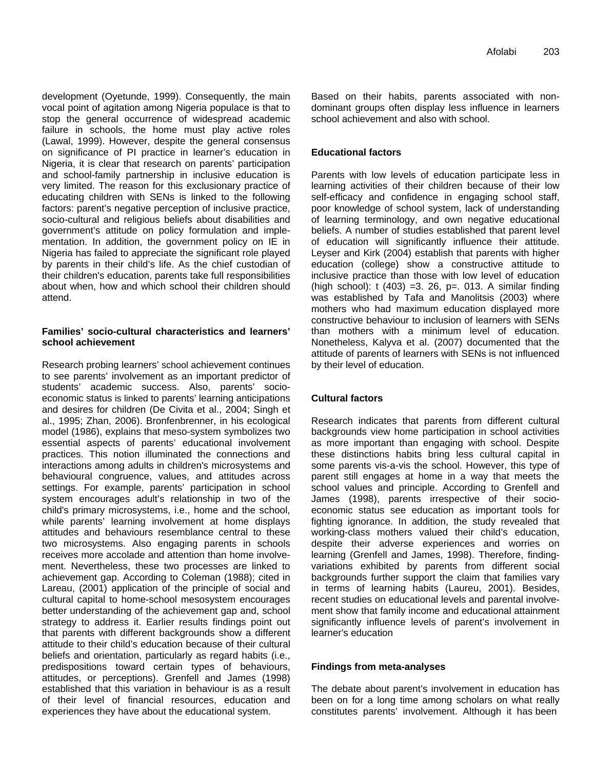development (Oyetunde, 1999). Consequently, the main vocal point of agitation among Nigeria populace is that to stop the general occurrence of widespread academic failure in schools, the home must play active roles (Lawal, 1999). However, despite the general consensus on significance of PI practice in learner's education in Nigeria, it is clear that research on parents' participation and school-family partnership in inclusive education is very limited. The reason for this exclusionary practice of educating children with SENs is linked to the following factors: parent's negative perception of inclusive practice, socio-cultural and religious beliefs about disabilities and government's attitude on policy formulation and implementation. In addition, the government policy on IE in Nigeria has failed to appreciate the significant role played by parents in their child's life. As the chief custodian of their children's education, parents take full responsibilities about when, how and which school their children should attend.

#### **Families' socio-cultural characteristics and learners' school achievement**

Research probing learners' school achievement continues to see parents' involvement as an important predictor of students' academic success. Also, parents' socioeconomic status is linked to parents' learning anticipations and desires for children (De Civita et al., 2004; Singh et al., 1995; Zhan, 2006). Bronfenbrenner, in his ecological model (1986), explains that meso-system symbolizes two essential aspects of parents' educational involvement practices. This notion illuminated the connections and interactions among adults in children's microsystems and behavioural congruence, values, and attitudes across settings. For example, parents' participation in school system encourages adult's relationship in two of the child's primary microsystems, i.e., home and the school, while parents' learning involvement at home displays attitudes and behaviours resemblance central to these two microsystems. Also engaging parents in schools receives more accolade and attention than home involvement. Nevertheless, these two processes are linked to achievement gap. According to Coleman (1988); cited in Lareau, (2001) application of the principle of social and cultural capital to home-school mesosystem encourages better understanding of the achievement gap and, school strategy to address it. Earlier results findings point out that parents with different backgrounds show a different attitude to their child's education because of their cultural beliefs and orientation, particularly as regard habits (i.e., predispositions toward certain types of behaviours, attitudes, or perceptions). Grenfell and James (1998) established that this variation in behaviour is as a result of their level of financial resources, education and experiences they have about the educational system.

Based on their habits, parents associated with nondominant groups often display less influence in learners school achievement and also with school.

### **Educational factors**

Parents with low levels of education participate less in learning activities of their children because of their low self-efficacy and confidence in engaging school staff, poor knowledge of school system, lack of understanding of learning terminology, and own negative educational beliefs. A number of studies established that parent level of education will significantly influence their attitude. Leyser and Kirk (2004) establish that parents with higher education (college) show a constructive attitude to inclusive practice than those with low level of education (high school):  $t(403) = 3.26$ ,  $p = .013$ . A similar finding was established by Tafa and Manolitsis (2003) where mothers who had maximum education displayed more constructive behaviour to inclusion of learners with SENs than mothers with a minimum level of education. Nonetheless, Kalyva et al. (2007) documented that the attitude of parents of learners with SENs is not influenced by their level of education.

# **Cultural factors**

Research indicates that parents from different cultural backgrounds view home participation in school activities as more important than engaging with school. Despite these distinctions habits bring less cultural capital in some parents vis-a-vis the school. However, this type of parent still engages at home in a way that meets the school values and principle. According to Grenfell and James (1998), parents irrespective of their socioeconomic status see education as important tools for fighting ignorance. In addition, the study revealed that working-class mothers valued their child's education, despite their adverse experiences and worries on learning (Grenfell and James, 1998). Therefore, findingvariations exhibited by parents from different social backgrounds further support the claim that families vary in terms of learning habits (Laureu, 2001). Besides, recent studies on educational levels and parental involvement show that family income and educational attainment significantly influence levels of parent's involvement in learner's education

# **Findings from meta-analyses**

The debate about parent's involvement in education has been on for a long time among scholars on what really constitutes parents' involvement. Although it has been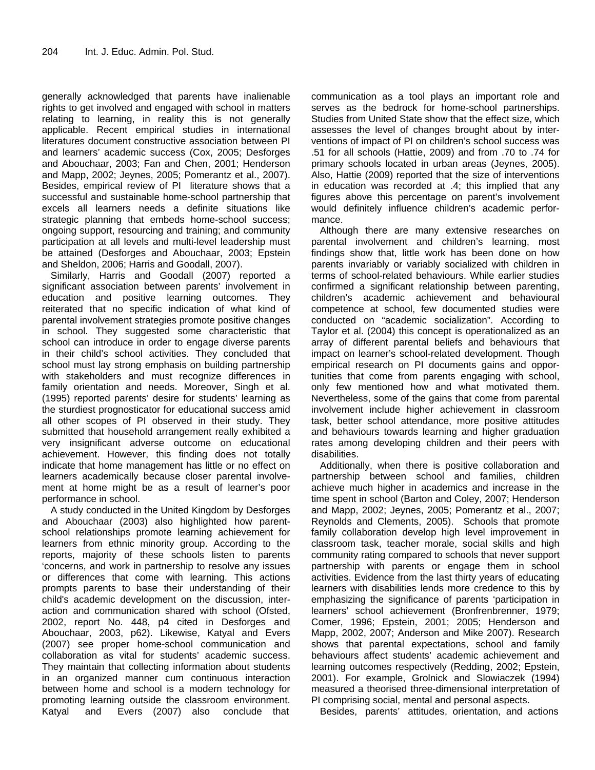generally acknowledged that parents have inalienable rights to get involved and engaged with school in matters relating to learning, in reality this is not generally applicable. Recent empirical studies in international literatures document constructive association between PI and learners' academic success (Cox, 2005; Desforges and Abouchaar, 2003; Fan and Chen, 2001; Henderson and Mapp, 2002; Jeynes, 2005; Pomerantz et al., 2007). Besides, empirical review of PI literature shows that a successful and sustainable home-school partnership that excels all learners needs a definite situations like strategic planning that embeds home-school success; ongoing support, resourcing and training; and community participation at all levels and multi-level leadership must be attained (Desforges and Abouchaar, 2003; Epstein and Sheldon, 2006; Harris and Goodall, 2007).

Similarly, Harris and Goodall (2007) reported a significant association between parents' involvement in education and positive learning outcomes. They reiterated that no specific indication of what kind of parental involvement strategies promote positive changes in school. They suggested some characteristic that school can introduce in order to engage diverse parents in their child's school activities. They concluded that school must lay strong emphasis on building partnership with stakeholders and must recognize differences in family orientation and needs. Moreover, Singh et al. (1995) reported parents' desire for students' learning as the sturdiest prognosticator for educational success amid all other scopes of PI observed in their study. They submitted that household arrangement really exhibited a very insignificant adverse outcome on educational achievement. However, this finding does not totally indicate that home management has little or no effect on learners academically because closer parental involvement at home might be as a result of learner's poor performance in school.

A study conducted in the United Kingdom by Desforges and Abouchaar (2003) also highlighted how parentschool relationships promote learning achievement for learners from ethnic minority group. According to the reports, majority of these schools listen to parents 'concerns, and work in partnership to resolve any issues or differences that come with learning. This actions prompts parents to base their understanding of their child's academic development on the discussion, interaction and communication shared with school (Ofsted, 2002, report No. 448, p4 cited in Desforges and Abouchaar, 2003, p62). Likewise, Katyal and Evers (2007) see proper home-school communication and collaboration as vital for students' academic success. They maintain that collecting information about students in an organized manner cum continuous interaction between home and school is a modern technology for promoting learning outside the classroom environment. Katyal and Evers (2007) also conclude that communication as a tool plays an important role and serves as the bedrock for home-school partnerships. Studies from United State show that the effect size, which assesses the level of changes brought about by interventions of impact of PI on children's school success was .51 for all schools (Hattie, 2009) and from .70 to .74 for primary schools located in urban areas (Jeynes, 2005). Also, Hattie (2009) reported that the size of interventions in education was recorded at .4; this implied that any figures above this percentage on parent's involvement would definitely influence children's academic performance.

Although there are many extensive researches on parental involvement and children's learning, most findings show that, little work has been done on how parents invariably or variably socialized with children in terms of school-related behaviours. While earlier studies confirmed a significant relationship between parenting, children's academic achievement and behavioural competence at school, few documented studies were conducted on "academic socialization". According to Taylor et al. (2004) this concept is operationalized as an array of different parental beliefs and behaviours that impact on learner's school-related development. Though empirical research on PI documents gains and opportunities that come from parents engaging with school, only few mentioned how and what motivated them. Nevertheless, some of the gains that come from parental involvement include higher achievement in classroom task, better school attendance, more positive attitudes and behaviours towards learning and higher graduation rates among developing children and their peers with disabilities.

Additionally, when there is positive collaboration and partnership between school and families, children achieve much higher in academics and increase in the time spent in school (Barton and Coley, 2007; Henderson and Mapp, 2002; Jeynes, 2005; Pomerantz et al., 2007; Reynolds and Clements, 2005). Schools that promote family collaboration develop high level improvement in classroom task, teacher morale, social skills and high community rating compared to schools that never support partnership with parents or engage them in school activities. Evidence from the last thirty years of educating learners with disabilities lends more credence to this by emphasizing the significance of parents 'participation in learners' school achievement (Bronfrenbrenner, 1979; Comer, 1996; Epstein, 2001; 2005; Henderson and Mapp, 2002, 2007; Anderson and Mike 2007). Research shows that parental expectations, school and family behaviours affect students' academic achievement and learning outcomes respectively (Redding, 2002; Epstein, 2001). For example, Grolnick and Slowiaczek (1994) measured a theorised three-dimensional interpretation of PI comprising social, mental and personal aspects.

Besides, parents' attitudes, orientation, and actions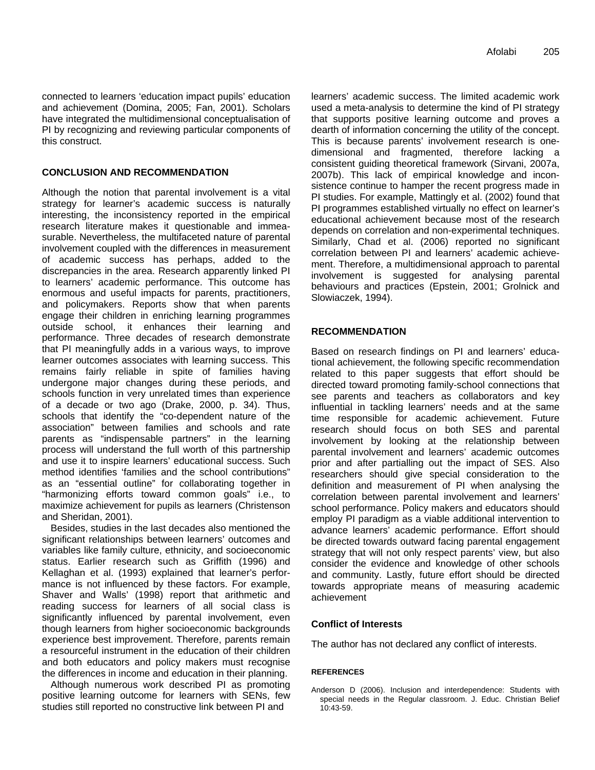connected to learners 'education impact pupils' education and achievement (Domina, 2005; Fan, 2001). Scholars have integrated the multidimensional conceptualisation of PI by recognizing and reviewing particular components of this construct.

#### **CONCLUSION AND RECOMMENDATION**

Although the notion that parental involvement is a vital strategy for learner's academic success is naturally interesting, the inconsistency reported in the empirical research literature makes it questionable and immeasurable. Nevertheless, the multifaceted nature of parental involvement coupled with the differences in measurement of academic success has perhaps, added to the discrepancies in the area. Research apparently linked PI to learners' academic performance. This outcome has enormous and useful impacts for parents, practitioners, and policymakers. Reports show that when parents engage their children in enriching learning programmes outside school, it enhances their learning and performance. Three decades of research demonstrate that PI meaningfully adds in a various ways, to improve learner outcomes associates with learning success. This remains fairly reliable in spite of families having undergone major changes during these periods, and schools function in very unrelated times than experience of a decade or two ago (Drake, 2000, p. 34). Thus, schools that identify the "co-dependent nature of the association" between families and schools and rate parents as "indispensable partners" in the learning process will understand the full worth of this partnership and use it to inspire learners' educational success. Such method identifies 'families and the school contributions" as an "essential outline" for collaborating together in "harmonizing efforts toward common goals" i.e., to maximize achievement for pupils as learners (Christenson and Sheridan, 2001).

Besides, studies in the last decades also mentioned the significant relationships between learners' outcomes and variables like family culture, ethnicity, and socioeconomic status. Earlier research such as Griffith (1996) and Kellaghan et al. (1993) explained that learner's performance is not influenced by these factors. For example, Shaver and Walls' (1998) report that arithmetic and reading success for learners of all social class is significantly influenced by parental involvement, even though learners from higher socioeconomic backgrounds experience best improvement. Therefore, parents remain a resourceful instrument in the education of their children and both educators and policy makers must recognise the differences in income and education in their planning.

Although numerous work described PI as promoting positive learning outcome for learners with SENs, few studies still reported no constructive link between PI and

learners' academic success. The limited academic work used a meta-analysis to determine the kind of PI strategy that supports positive learning outcome and proves a dearth of information concerning the utility of the concept. This is because parents' involvement research is onedimensional and fragmented, therefore lacking a consistent guiding theoretical framework (Sirvani, 2007a, 2007b). This lack of empirical knowledge and inconsistence continue to hamper the recent progress made in PI studies. For example, Mattingly et al. (2002) found that PI programmes established virtually no effect on learner's educational achievement because most of the research depends on correlation and non-experimental techniques. Similarly, Chad et al. (2006) reported no significant correlation between PI and learners' academic achievement. Therefore, a multidimensional approach to parental involvement is suggested for analysing parental behaviours and practices (Epstein, 2001; Grolnick and Slowiaczek, 1994).

#### **RECOMMENDATION**

Based on research findings on PI and learners' educational achievement, the following specific recommendation related to this paper suggests that effort should be directed toward promoting family-school connections that see parents and teachers as collaborators and key influential in tackling learners' needs and at the same time responsible for academic achievement. Future research should focus on both SES and parental involvement by looking at the relationship between parental involvement and learners' academic outcomes prior and after partialling out the impact of SES. Also researchers should give special consideration to the definition and measurement of PI when analysing the correlation between parental involvement and learners' school performance. Policy makers and educators should employ PI paradigm as a viable additional intervention to advance learners' academic performance. Effort should be directed towards outward facing parental engagement strategy that will not only respect parents' view, but also consider the evidence and knowledge of other schools and community. Lastly, future effort should be directed towards appropriate means of measuring academic achievement

#### **Conflict of Interests**

The author has not declared any conflict of interests.

#### **REFERENCES**

Anderson D (2006). Inclusion and interdependence: Students with special needs in the Regular classroom. J. Educ. Christian Belief 10:43-59.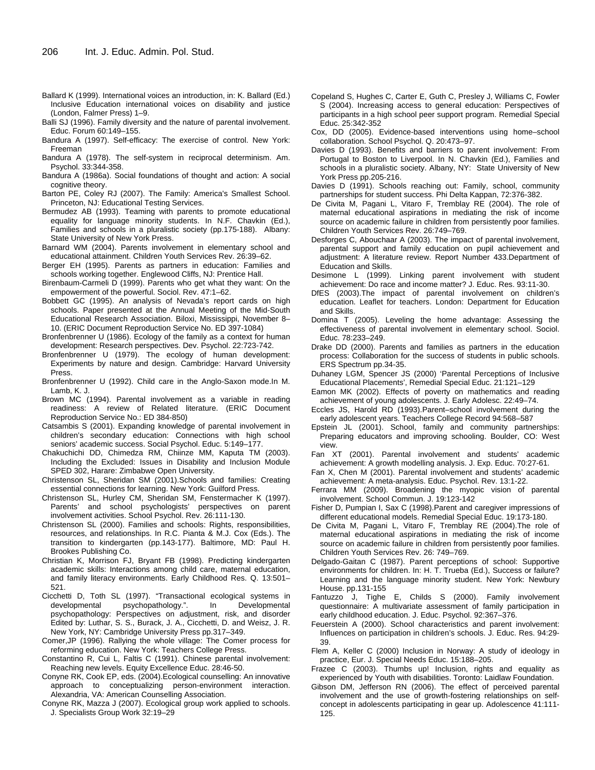- Ballard K (1999). International voices an introduction, in: K. Ballard (Ed.) Inclusive Education international voices on disability and justice (London, Falmer Press) 1–9.
- Balli SJ (1996). Family diversity and the nature of parental involvement. Educ. Forum 60:149–155.
- Bandura A (1997). Self-efficacy: The exercise of control. New York: Freeman
- Bandura A (1978). The self-system in reciprocal determinism. Am. Psychol. 33:344-358.
- Bandura A (1986a). Social foundations of thought and action: A social cognitive theory.
- Barton PE, Coley RJ (2007). The Family: America's Smallest School. Princeton, NJ: Educational Testing Services.
- Bermudez AB (1993). Teaming with parents to promote educational equality for language minority students. In N.F. Chavkin (Ed.), Families and schools in a pluralistic society (pp.175-188). Albany: State University of New York Press.
- Barnard WM (2004). Parents involvement in elementary school and educational attainment. Children Youth Services Rev. 26:39–62.
- Berger EH (1995). Parents as partners in education: Families and schools working together. Englewood Cliffs, NJ: Prentice Hall.
- Birenbaum-Carmeli D (1999). Parents who get what they want: On the empowerment of the powerful. Sociol. Rev. 47:1–62.
- Bobbett GC (1995). An analysis of Nevada's report cards on high schools. Paper presented at the Annual Meeting of the Mid-South Educational Research Association. Biloxi, Mississippi, November 8– 10. (ERIC Document Reproduction Service No. ED 397-1084)
- Bronfenbrenner U (1986). Ecology of the family as a context for human development: Research perspectives. Dev. Psychol. 22:723-742.
- Bronfenbrenner U (1979). The ecology of human development: Experiments by nature and design. Cambridge: Harvard University Press.
- Bronfenbrenner U (1992). Child care in the Anglo-Saxon mode.In M. Lamb, K. J.
- Brown MC (1994). Parental involvement as a variable in reading readiness: A review of Related literature. (ERIC Document Reproduction Service No.: ED 384-850)
- Catsambis S (2001). Expanding knowledge of parental involvement in children's secondary education: Connections with high school seniors' academic success. Social Psychol. Educ. 5:149–177.
- Chakuchichi DD, Chimedza RM, Chiinze MM, Kaputa TM (2003). Including the Excluded: Issues in Disability and Inclusion Module SPED 302, Harare: Zimbabwe Open University.
- Christenson SL, Sheridan SM (2001).Schools and families: Creating essential connections for learning. New York: Guilford Press.
- Christenson SL, Hurley CM, Sheridan SM, Fenstermacher K (1997). Parents' and school psychologists' perspectives on parent involvement activities. School Psychol. Rev. 26:111-130.
- Christenson SL (2000). Families and schools: Rights, responsibilities, resources, and relationships. In R.C. Pianta & M.J. Cox (Eds.). The transition to kindergarten (pp.143-177). Baltimore, MD: Paul H. Brookes Publishing Co.
- Christian K, Morrison FJ, Bryant FB (1998). Predicting kindergarten academic skills: Interactions among child care, maternal education, and family literacy environments. Early Childhood Res. Q. 13:501– 521.
- Cicchetti D, Toth SL (1997). "Transactional ecological systems in developmental psychopathology.". In Developmental psychopathology: Perspectives on adjustment, risk, and disorder Edited by: Luthar, S. S., Burack, J. A., Cicchetti, D. and Weisz, J. R. New York, NY: Cambridge University Press pp.317–349.
- Comer,JP (1996). Rallying the whole village: The Comer process for reforming education. New York: Teachers College Press.
- Constantino R, Cui L, Faltis C (1991). Chinese parental involvement: Reaching new levels. Equity Excellence Educ. 28:46-50.
- Conyne RK, Cook EP, eds. (2004).Ecological counselling: An innovative approach to conceptualizing person-environment interaction. Alexandria, VA: American Counselling Association.
- Conyne RK, Mazza J (2007). Ecological group work applied to schools. J. Specialists Group Work 32:19–29
- Copeland S, Hughes C, Carter E, Guth C, Presley J, Williams C, Fowler S (2004). Increasing access to general education: Perspectives of participants in a high school peer support program. Remedial Special Educ. 25:342-352
- Cox, DD (2005). Evidence-based interventions using home–school collaboration. School Psychol. Q. 20:473–97.
- Davies D (1993). Benefits and barriers to parent involvement: From Portugal to Boston to Liverpool. In N. Chavkin (Ed.), Families and schools in a pluralistic society. Albany, NY: State University of New York Press pp.205-216.
- Davies D (1991). Schools reaching out: Family, school, community partnerships for student success. Phi Delta Kappan, 72:376-382.
- De Civita M, Pagani L, Vitaro F, Tremblay RE (2004). The role of maternal educational aspirations in mediating the risk of income source on academic failure in children from persistently poor families. Children Youth Services Rev. 26:749–769.
- Desforges C, Abouchaar A (2003). The impact of parental involvement, parental support and family education on pupil achievement and adjustment: A literature review. Report Number 433.Department of Education and Skills.
- Desimone L (1999). Linking parent involvement with student achievement: Do race and income matter? J. Educ. Res. 93:11-30.
- DfES (2003).The impact of parental involvement on children's education. Leaflet for teachers. London: Department for Education and Skills.
- Domina T (2005). Leveling the home advantage: Assessing the effectiveness of parental involvement in elementary school. Sociol. Educ. 78:233–249.
- Drake DD (2000). Parents and families as partners in the education process: Collaboration for the success of students in public schools. ERS Spectrum pp.34-35.
- Duhaney LGM, Spencer JS (2000) 'Parental Perceptions of Inclusive Educational Placements', Remedial Special Educ. 21:121–129
- Eamon MK (2002). Effects of poverty on mathematics and reading achievement of young adolescents. J. Early Adolesc. 22:49–74.
- Eccles JS, Harold RD (1993).Parent–school involvement during the early adolescent years. Teachers College Record 94:568–587
- Epstein JL (2001). School, family and community partnerships: Preparing educators and improving schooling. Boulder, CO: West view.
- Fan XT (2001). Parental involvement and students' academic achievement: A growth modelling analysis. J. Exp. Educ. 70:27-61.
- Fan X, Chen M (2001). Parental involvement and students' academic achievement: A meta-analysis. Educ. Psychol. Rev. 13:1-22.
- Ferrara MM (2009). Broadening the myopic vision of parental involvement. School Commun. J. 19:123-142
- Fisher D, Pumpian I, Sax C (1998).Parent and caregiver impressions of different educational models. Remedial Special Educ. 19:173-180.
- De Civita M, Pagani L, Vitaro F, Tremblay RE (2004).The role of maternal educational aspirations in mediating the risk of income source on academic failure in children from persistently poor families. Children Youth Services Rev. 26: 749–769.
- Delgado-Gaitan C (1987). Parent perceptions of school: Supportive environments for children. In: H. T. Trueba (Ed.), Success or failure? Learning and the language minority student. New York: Newbury House. pp.131-155
- Fantuzzo J, Tighe E, Childs S (2000). Family involvement questionnaire: A multivariate assessment of family participation in early childhood education. J. Educ. Psychol. 92:367–376.
- Feuerstein A (2000). School characteristics and parent involvement: Influences on participation in children's schools. J. Educ. Res. 94:29- 39.
- Flem A, Keller C (2000) Inclusion in Norway: A study of ideology in practice, Eur. J. Special Needs Educ. 15:188–205.
- Frazee C (2003). Thumbs up! Inclusion, rights and equality as experienced by Youth with disabilities. Toronto: Laidlaw Foundation.
- Gibson DM, Jefferson RN (2006). The effect of perceived parental involvement and the use of growth-fostering relationships on selfconcept in adolescents participating in gear up. Adolescence 41:111- 125.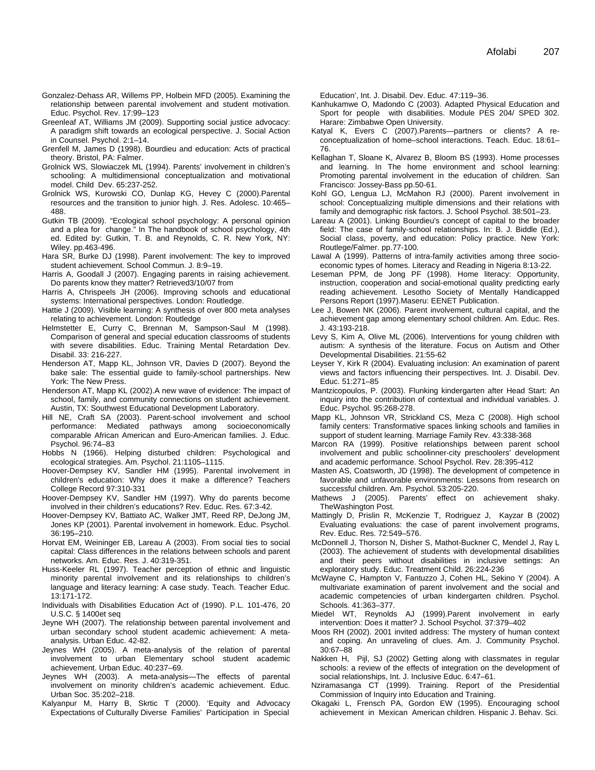- Gonzalez-Dehass AR, Willems PP, Holbein MFD (2005). Examining the relationship between parental involvement and student motivation. Educ. Psychol. Rev. 17:99–123
- Greenleaf AT, Williams JM (2009). Supporting social justice advocacy: A paradigm shift towards an ecological perspective. J. Social Action in Counsel. Psychol. 2:1–14.
- Grenfell M, James D (1998). Bourdieu and education: Acts of practical theory. Bristol, PA: Falmer.
- Grolnick WS, Slowiaczek ML (1994). Parents' involvement in children's schooling: A multidimensional conceptualization and motivational model. Child Dev. 65:237-252.
- Grolnick WS, Kurowski CO, Dunlap KG, Hevey C (2000).Parental resources and the transition to junior high. J. Res. Adolesc. 10:465– 488.
- Gutkin TB (2009). "Ecological school psychology: A personal opinion and a plea for change." In The handbook of school psychology, 4th ed. Edited by: Gutkin, T. B. and Reynolds, C. R. New York, NY: Wiley. pp.463-496.
- Hara SR, Burke DJ (1998). Parent involvement: The key to improved student achievement. School Commun. J. 8:9–19.
- Harris A, Goodall J (2007). Engaging parents in raising achievement. Do parents know they matter? Retrieved3/10/07 from
- Harris A, Chrispeels JH (2006). Improving schools and educational systems: International perspectives. London: Routledge.
- Hattie J (2009). Visible learning: A synthesis of over 800 meta analyses relating to achievement. London: Routledge
- Helmstetter E, Curry C, Brennan M, Sampson-Saul M (1998). Comparison of general and special education classrooms of students with severe disabilities. Educ. Training Mental Retardation Dev. Disabil. 33: 216-227.
- Henderson AT, Mapp KL, Johnson VR, Davies D (2007). Beyond the bake sale: The essential guide to family-school partnerships. New York: The New Press.
- Henderson AT, Mapp KL (2002).A new wave of evidence: The impact of school, family, and community connections on student achievement. Austin, TX: Southwest Educational Development Laboratory.
- Hill NE, Craft SA (2003). Parent-school involvement and school performance: Mediated pathways among socioeconomically comparable African American and Euro-American families. J. Educ. Psychol. 96:74–83
- Hobbs N (1966). Helping disturbed children: Psychological and ecological strategies. Am. Psychol. 21:1105–1115.
- Hoover-Dempsey KV, Sandler HM (1995). Parental involvement in children's education: Why does it make a difference? Teachers College Record 97:310-331
- Hoover-Dempsey KV, Sandler HM (1997). Why do parents become involved in their children's educations? Rev. Educ. Res. 67:3-42.
- Hoover-Dempsey KV, Battiato AC, Walker JMT, Reed RP, DeJong JM, Jones KP (2001). Parental involvement in homework. Educ. Psychol. 36:195–210.
- Horvat EM, Weininger EB, Lareau A (2003). From social ties to social capital: Class differences in the relations between schools and parent networks. Am. Educ. Res. J. 40:319-351.
- Huss-Keeler RL (1997). Teacher perception of ethnic and linguistic minority parental involvement and its relationships to children's language and literacy learning: A case study. Teach. Teacher Educ. 13:171-172.
- Individuals with Disabilities Education Act of (1990). P.L. 101-476, 20 U.S.C. § 1400et seq
- Jeyne WH (2007). The relationship between parental involvement and urban secondary school student academic achievement: A metaanalysis. Urban Educ. 42-82.
- Jeynes WH (2005). A meta-analysis of the relation of parental involvement to urban Elementary school student academic achievement. Urban Educ. 40:237–69.
- Jeynes WH (2003). A meta-analysis—The effects of parental involvement on minority children's academic achievement. Educ. Urban Soc. 35:202–218.
- Kalyanpur M, Harry B, Skrtic T (2000). 'Equity and Advocacy Expectations of Culturally Diverse Families' Participation in Special

Education', Int. J. Disabil. Dev. Educ. 47:119–36.

- Kanhukamwe O, Madondo C (2003). Adapted Physical Education and Sport for people with disabilities. Module PES 204/ SPED 302. Harare: Zimbabwe Open University.
- Katyal K, Evers C (2007).Parents—partners or clients? A reconceptualization of home–school interactions. Teach. Educ. 18:61– 76.
- Kellaghan T, Sloane K, Alvarez B, Bloom BS (1993). Home processes and learning. In The home environment and school learning: Promoting parental involvement in the education of children. San Francisco: Jossey-Bass pp.50-61.
- Kohl GO, Lengua LJ, McMahon RJ (2000). Parent involvement in school: Conceptualizing multiple dimensions and their relations with family and demographic risk factors. J. School Psychol. 38:501–23.
- Lareau A (2001). Linking Bourdieu's concept of capital to the broader field: The case of family-school relationships. In: B. J. Biddle (Ed.), Social class, poverty, and education: Policy practice. New York: Routlege/Falmer. pp.77-100.
- Lawal A (1999). Patterns of intra-family activities among three socioeconomic types of homes. Literacy and Reading in Nigeria 8:13-22.
- Leseman PPM, de Jong PF (1998). Home literacy: Opportunity, instruction, cooperation and social-emotional quality predicting early reading achievement. Lesotho Society of Mentally Handicapped Persons Report (1997).Maseru: EENET Publication.
- Lee J, Bowen NK (2006). Parent involvement, cultural capital, and the achievement gap among elementary school children. Am. Educ. Res. J. 43:193-218.
- Levy S, Kim A, Olive ML (2006). Interventions for young children with autism: A synthesis of the literature. Focus on Autism and Other Developmental Disabilities. 21:55-62
- Leyser Y, Kirk R (2004). Evaluating inclusion: An examination of parent views and factors influencing their perspectives. Int. J. Disabil. Dev. Educ. 51:271–85
- Mantzicopoulos, P. (2003). Flunking kindergarten after Head Start: An inquiry into the contribution of contextual and individual variables. J. Educ. Psychol. 95:268-278.
- Mapp KL, Johnson VR, Strickland CS, Meza C (2008). High school family centers: Transformative spaces linking schools and families in support of student learning. Marriage Family Rev. 43:338-368
- Marcon RA (1999). Positive relationships between parent school involvement and public schoolinner-city preschoolers' development and academic performance. School Psychol. Rev. 28:395-412
- Masten AS, Coatsworth, JD (1998). The development of competence in favorable and unfavorable environments: Lessons from research on successful children. Am. Psychol. 53:205-220.
- Mathews J (2005). Parents' effect on achievement shaky. TheWashington Post.
- Mattingly D, Prislin R, McKenzie T, Rodriguez J, Kayzar B (2002) Evaluating evaluations: the case of parent involvement programs, Rev. Educ. Res. 72:549–576.
- McDonnell J, Thorson N, Disher S, Mathot-Buckner C, Mendel J, Ray L (2003). The achievement of students with developmental disabilities and their peers without disabilities in inclusive settings: An exploratory study. Educ. Treatment Child. 26:224-236
- McWayne C, Hampton V, Fantuzzo J, Cohen HL, Sekino Y (2004). A multivariate examination of parent involvement and the social and academic competencies of urban kindergarten children. Psychol. Schools. 41:363–377.
- Miedel WT, Reynolds AJ (1999).Parent involvement in early intervention: Does it matter? J. School Psychol. 37:379–402
- Moos RH (2002). 2001 invited address: The mystery of human context and coping. An unraveling of clues. Am. J. Community Psychol. 30:67–88
- Nakken H, Pijl, SJ (2002) Getting along with classmates in regular schools: a review of the effects of integration on the development of social relationships, Int. J. Inclusive Educ. 6:47–61.
- Nziramasanga CT (1999). Training. Report of the Presidential Commission of Inquiry into Education and Training.
- Okagaki L, Frensch PA, Gordon EW (1995). Encouraging school achievement in Mexican American children. Hispanic J. Behav. Sci.